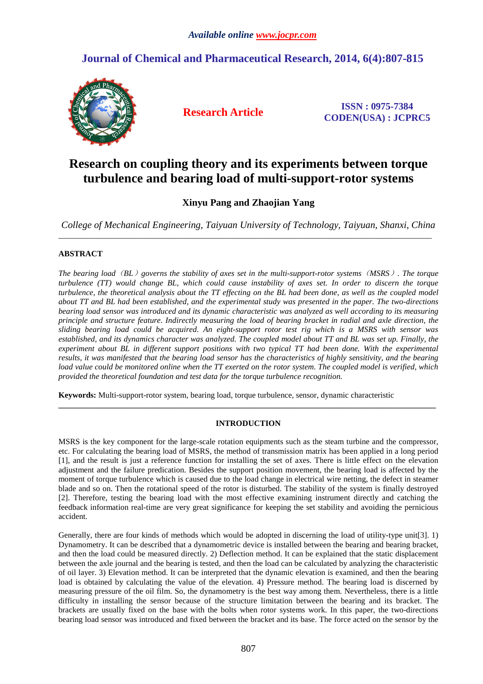# **Journal of Chemical and Pharmaceutical Research, 2014, 6(4):807-815**



**Research Article ISSN : 0975-7384 CODEN(USA) : JCPRC5**

# **Research on coupling theory and its experiments between torque turbulence and bearing load of multi-support-rotor systems**

## **Xinyu Pang and Zhaojian Yang**

*College of Mechanical Engineering, Taiyuan University of Technology, Taiyuan, Shanxi, China*  \_\_\_\_\_\_\_\_\_\_\_\_\_\_\_\_\_\_\_\_\_\_\_\_\_\_\_\_\_\_\_\_\_\_\_\_\_\_\_\_\_\_\_\_\_\_\_\_\_\_\_\_\_\_\_\_\_\_\_\_\_\_\_\_\_\_\_\_\_\_\_\_\_\_\_\_\_\_\_\_\_\_\_\_\_\_\_\_\_\_\_\_

## **ABSTRACT**

*The bearing load*(*BL*)*governs the stability of axes set in the multi-support-rotor systems*(*MSRS*)*. The torque turbulence (TT) would change BL, which could cause instability of axes set. In order to discern the torque*  turbulence, the theoretical analysis about the TT effecting on the BL had been done, as well as the coupled model *about TT and BL had been established, and the experimental study was presented in the paper. The two-directions bearing load sensor was introduced and its dynamic characteristic was analyzed as well according to its measuring principle and structure feature. Indirectly measuring the load of bearing bracket in radial and axle direction, the sliding bearing load could be acquired. An eight-support rotor test rig which is a MSRS with sensor was established, and its dynamics character was analyzed. The coupled model about TT and BL was set up. Finally, the experiment about BL in different support positions with two typical TT had been done. With the experimental results, it was manifested that the bearing load sensor has the characteristics of highly sensitivity, and the bearing load value could be monitored online when the TT exerted on the rotor system. The coupled model is verified, which provided the theoretical foundation and test data for the torque turbulence recognition.* 

**Keywords:** Multi-support-rotor system, bearing load, torque turbulence, sensor, dynamic characteristic

## **INTRODUCTION**

**\_\_\_\_\_\_\_\_\_\_\_\_\_\_\_\_\_\_\_\_\_\_\_\_\_\_\_\_\_\_\_\_\_\_\_\_\_\_\_\_\_\_\_\_\_\_\_\_\_\_\_\_\_\_\_\_\_\_\_\_\_\_\_\_\_\_\_\_\_\_\_\_\_\_\_\_\_\_\_\_\_\_\_\_\_\_\_\_\_\_\_\_\_** 

MSRS is the key component for the large-scale rotation equipments such as the steam turbine and the compressor, etc. For calculating the bearing load of MSRS, the method of transmission matrix has been applied in a long period [1], and the result is just a reference function for installing the set of axes. There is little effect on the elevation adjustment and the failure predication. Besides the support position movement, the bearing load is affected by the moment of torque turbulence which is caused due to the load change in electrical wire netting, the defect in steamer blade and so on. Then the rotational speed of the rotor is disturbed. The stability of the system is finally destroyed [2]. Therefore, testing the bearing load with the most effective examining instrument directly and catching the feedback information real-time are very great significance for keeping the set stability and avoiding the pernicious accident.

Generally, there are four kinds of methods which would be adopted in discerning the load of utility-type unit[3]. 1) Dynamometry. It can be described that a dynamometric device is installed between the bearing and bearing bracket, and then the load could be measured directly. 2) Deflection method. It can be explained that the static displacement between the axle journal and the bearing is tested, and then the load can be calculated by analyzing the characteristic of oil layer. 3) Elevation method. It can be interpreted that the dynamic elevation is examined, and then the bearing load is obtained by calculating the value of the elevation. 4) Pressure method. The bearing load is discerned by measuring pressure of the oil film. So, the dynamometry is the best way among them. Nevertheless, there is a little difficulty in installing the sensor because of the structure limitation between the bearing and its bracket. The brackets are usually fixed on the base with the bolts when rotor systems work. In this paper, the two-directions bearing load sensor was introduced and fixed between the bracket and its base. The force acted on the sensor by the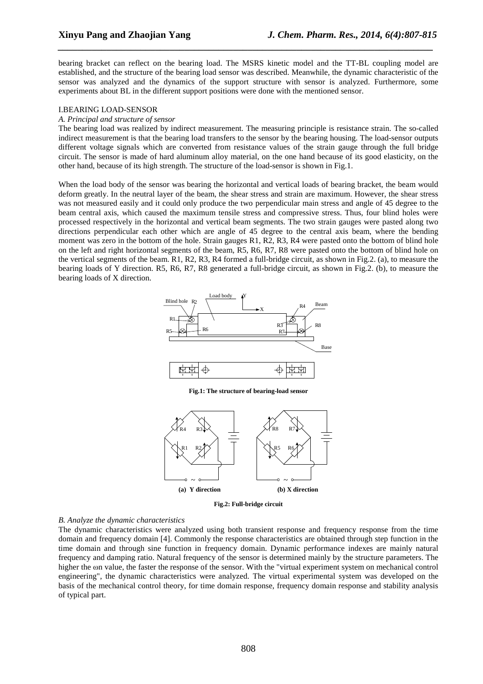bearing bracket can reflect on the bearing load. The MSRS kinetic model and the TT-BL coupling model are established, and the structure of the bearing load sensor was described. Meanwhile, the dynamic characteristic of the sensor was analyzed and the dynamics of the support structure with sensor is analyzed. Furthermore, some experiments about BL in the different support positions were done with the mentioned sensor.

*\_\_\_\_\_\_\_\_\_\_\_\_\_\_\_\_\_\_\_\_\_\_\_\_\_\_\_\_\_\_\_\_\_\_\_\_\_\_\_\_\_\_\_\_\_\_\_\_\_\_\_\_\_\_\_\_\_\_\_\_\_\_\_\_\_\_\_\_\_\_\_\_\_\_\_\_\_*

## I.BEARING LOAD-SENSOR

## *A. Principal and structure of sensor*

The bearing load was realized by indirect measurement. The measuring principle is resistance strain. The so-called indirect measurement is that the bearing load transfers to the sensor by the bearing housing. The load-sensor outputs different voltage signals which are converted from resistance values of the strain gauge through the full bridge circuit. The sensor is made of hard aluminum alloy material, on the one hand because of its good elasticity, on the other hand, because of its high strength. The structure of the load-sensor is shown in Fig.1.

When the load body of the sensor was bearing the horizontal and vertical loads of bearing bracket, the beam would deform greatly. In the neutral layer of the beam, the shear stress and strain are maximum. However, the shear stress was not measured easily and it could only produce the two perpendicular main stress and angle of 45 degree to the beam central axis, which caused the maximum tensile stress and compressive stress. Thus, four blind holes were processed respectively in the horizontal and vertical beam segments. The two strain gauges were pasted along two directions perpendicular each other which are angle of 45 degree to the central axis beam, where the bending moment was zero in the bottom of the hole. Strain gauges R1, R2, R3, R4 were pasted onto the bottom of blind hole on the left and right horizontal segments of the beam, R5, R6, R7, R8 were pasted onto the bottom of blind hole on the vertical segments of the beam. R1, R2, R3, R4 formed a full-bridge circuit, as shown in Fig.2. (a), to measure the bearing loads of Y direction. R5, R6, R7, R8 generated a full-bridge circuit, as shown in Fig.2. (b), to measure the bearing loads of X direction.



**Fig.1: The structure of bearing-load sensor** 



**Fig.2: Full-bridge circuit** 

#### *B. Analyze the dynamic characteristics*

The dynamic characteristics were analyzed using both transient response and frequency response from the time domain and frequency domain [4]. Commonly the response characteristics are obtained through step function in the time domain and through sine function in frequency domain. Dynamic performance indexes are mainly natural frequency and damping ratio. Natural frequency of the sensor is determined mainly by the structure parameters. The higher the  $\omega$ n value, the faster the response of the sensor. With the "virtual experiment system on mechanical control engineering", the dynamic characteristics were analyzed. The virtual experimental system was developed on the basis of the mechanical control theory, for time domain response, frequency domain response and stability analysis of typical part.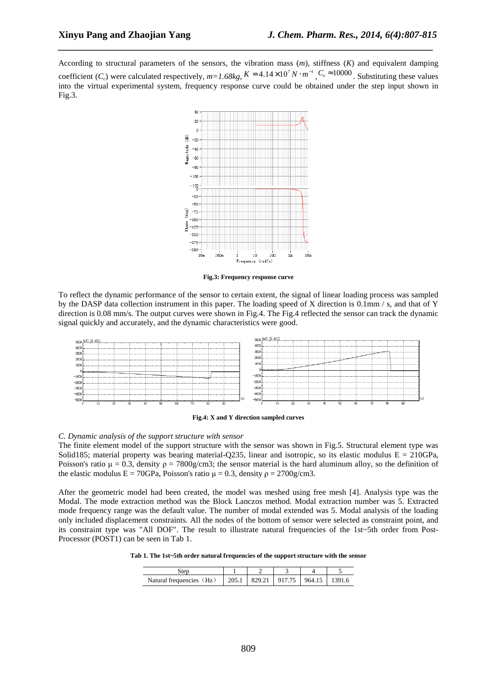According to structural parameters of the sensors, the vibration mass (*m*), stiffness (*K*) and equivalent damping coefficient  $(C_e)$  were calculated respectively,  $m=1.68kg$ ,  $K = 4.14 \times 10^7 N \cdot m^{-1}$ ,  $C_e \approx 10000$ . Substituting these values into the virtual experimental system, frequency response curve could be obtained under the step input shown in Fig.3.

*\_\_\_\_\_\_\_\_\_\_\_\_\_\_\_\_\_\_\_\_\_\_\_\_\_\_\_\_\_\_\_\_\_\_\_\_\_\_\_\_\_\_\_\_\_\_\_\_\_\_\_\_\_\_\_\_\_\_\_\_\_\_\_\_\_\_\_\_\_\_\_\_\_\_\_\_\_*



**Fig.3: Frequency response curve** 

To reflect the dynamic performance of the sensor to certain extent, the signal of linear loading process was sampled by the DASP data collection instrument in this paper. The loading speed of X direction is 0.1mm / s, and that of Y direction is 0.08 mm/s. The output curves were shown in Fig.4. The Fig.4 reflected the sensor can track the dynamic signal quickly and accurately, and the dynamic characteristics were good.

|         | 5000 (nV) [1:AX1] |  |  |  |  |  |          |  |    |  |         |                                               |  |                                                                                                                |     |  |    |    |    |   |  |
|---------|-------------------|--|--|--|--|--|----------|--|----|--|---------|-----------------------------------------------|--|----------------------------------------------------------------------------------------------------------------|-----|--|----|----|----|---|--|
|         |                   |  |  |  |  |  |          |  |    |  |         |                                               |  |                                                                                                                |     |  |    |    |    |   |  |
| 4000    |                   |  |  |  |  |  |          |  |    |  |         |                                               |  |                                                                                                                |     |  |    |    |    |   |  |
| 3000    |                   |  |  |  |  |  |          |  |    |  |         |                                               |  | .3000 Laurence de concernation en concernation en concernation en concernation commenced and concernation of t |     |  |    |    |    |   |  |
| 2000    |                   |  |  |  |  |  |          |  |    |  | 2000    |                                               |  |                                                                                                                |     |  |    |    |    |   |  |
| 1000    |                   |  |  |  |  |  |          |  |    |  | 1000    |                                               |  |                                                                                                                |     |  |    |    |    | . |  |
|         |                   |  |  |  |  |  |          |  |    |  |         | <b>Statement Advisors Committee Committee</b> |  |                                                                                                                |     |  |    |    |    |   |  |
|         |                   |  |  |  |  |  |          |  |    |  |         |                                               |  |                                                                                                                |     |  |    |    |    |   |  |
| $-1000$ |                   |  |  |  |  |  |          |  |    |  |         |                                               |  |                                                                                                                |     |  |    |    |    |   |  |
| -2000   |                   |  |  |  |  |  |          |  |    |  | $-2000$ |                                               |  |                                                                                                                |     |  |    |    |    |   |  |
| -3000   |                   |  |  |  |  |  |          |  |    |  | $-3000$ |                                               |  |                                                                                                                |     |  |    |    |    |   |  |
| $-4000$ |                   |  |  |  |  |  |          |  |    |  |         |                                               |  |                                                                                                                |     |  |    |    |    | . |  |
| -5000   |                   |  |  |  |  |  |          |  |    |  |         |                                               |  |                                                                                                                |     |  |    |    |    |   |  |
|         |                   |  |  |  |  |  | 50<br>80 |  | ۹n |  |         |                                               |  | 20.                                                                                                            | ۹Λ. |  | 50 | 60 | 70 |   |  |
|         |                   |  |  |  |  |  |          |  |    |  |         |                                               |  |                                                                                                                |     |  |    |    |    |   |  |



## *C. Dynamic analysis of the support structure with sensor*

The finite element model of the support structure with the sensor was shown in Fig.5. Structural element type was Solid185; material property was bearing material-Q235, linear and isotropic, so its elastic modulus  $E = 210GPa$ , Poisson's ratio  $\mu = 0.3$ , density  $\rho = 7800g/cm3$ ; the sensor material is the hard aluminum alloy, so the definition of the elastic modulus E = 70GPa, Poisson's ratio  $\mu = 0.3$ , density  $\rho = 2700g/cm3$ .

After the geometric model had been created, the model was meshed using free mesh [4]. Analysis type was the Modal. The mode extraction method was the Block Lanczos method. Modal extraction number was 5. Extracted mode frequency range was the default value. The number of modal extended was 5. Modal analysis of the loading only included displacement constraints. All the nodes of the bottom of sensor were selected as constraint point, and its constraint type was "All DOF". The result to illustrate natural frequencies of the 1st~5th order from Post-Processor (POST1) can be seen in Tab 1.

**Tab 1. The 1st~5th order natural frequencies of the support structure with the sensor** 

| Natural frequencies (Hz) 205.1   829.21   917.75   964.15   1 |  |  | 1391.6 |
|---------------------------------------------------------------|--|--|--------|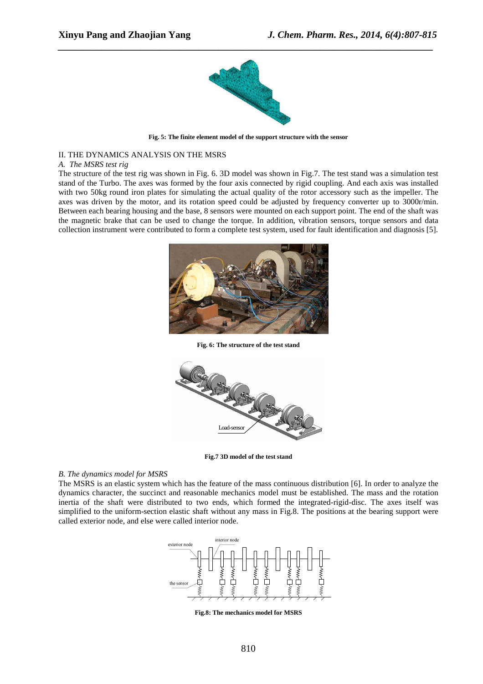

*\_\_\_\_\_\_\_\_\_\_\_\_\_\_\_\_\_\_\_\_\_\_\_\_\_\_\_\_\_\_\_\_\_\_\_\_\_\_\_\_\_\_\_\_\_\_\_\_\_\_\_\_\_\_\_\_\_\_\_\_\_\_\_\_\_\_\_\_\_\_\_\_\_\_\_\_\_*

**Fig. 5: The finite element model of the support structure with the sensor** 

## II. THE DYNAMICS ANALYSIS ON THE MSRS

## *A. The MSRS test rig*

The structure of the test rig was shown in Fig. 6. 3D model was shown in Fig.7. The test stand was a simulation test stand of the Turbo. The axes was formed by the four axis connected by rigid coupling. And each axis was installed with two 50kg round iron plates for simulating the actual quality of the rotor accessory such as the impeller. The axes was driven by the motor, and its rotation speed could be adjusted by frequency converter up to 3000r/min. Between each bearing housing and the base, 8 sensors were mounted on each support point. The end of the shaft was the magnetic brake that can be used to change the torque. In addition, vibration sensors, torque sensors and data collection instrument were contributed to form a complete test system, used for fault identification and diagnosis [5].



**Fig. 6: The structure of the test stand** 



**Fig.7 3D model of the test stand** 

## *B. The dynamics model for MSRS*

The MSRS is an elastic system which has the feature of the mass continuous distribution [6]. In order to analyze the dynamics character, the succinct and reasonable mechanics model must be established. The mass and the rotation inertia of the shaft were distributed to two ends, which formed the integrated-rigid-disc. The axes itself was simplified to the uniform-section elastic shaft without any mass in Fig.8. The positions at the bearing support were called exterior node, and else were called interior node.



**Fig.8: The mechanics model for MSRS**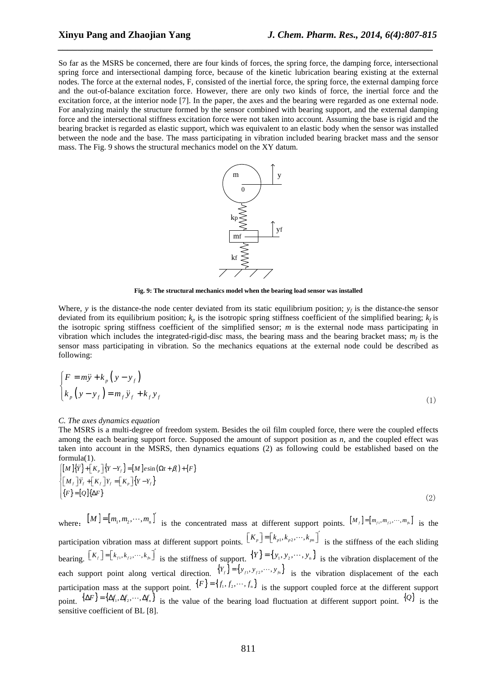So far as the MSRS be concerned, there are four kinds of forces, the spring force, the damping force, intersectional spring force and intersectional damping force, because of the kinetic lubrication bearing existing at the external nodes. The force at the external nodes, F, consisted of the inertial force, the spring force, the external damping force and the out-of-balance excitation force. However, there are only two kinds of force, the inertial force and the excitation force, at the interior node [7]. In the paper, the axes and the bearing were regarded as one external node. For analyzing mainly the structure formed by the sensor combined with bearing support, and the external damping force and the intersectional stiffness excitation force were not taken into account. Assuming the base is rigid and the bearing bracket is regarded as elastic support, which was equivalent to an elastic body when the sensor was installed between the node and the base. The mass participating in vibration included bearing bracket mass and the sensor mass. The Fig. 9 shows the structural mechanics model on the XY datum.

*\_\_\_\_\_\_\_\_\_\_\_\_\_\_\_\_\_\_\_\_\_\_\_\_\_\_\_\_\_\_\_\_\_\_\_\_\_\_\_\_\_\_\_\_\_\_\_\_\_\_\_\_\_\_\_\_\_\_\_\_\_\_\_\_\_\_\_\_\_\_\_\_\_\_\_\_\_*



**Fig. 9: The structural mechanics model when the bearing load sensor was installed** 

Where, *y* is the distance-the node center deviated from its static equilibrium position;  $y_f$  is the distance-the sensor deviated from its equilibrium position;  $k_p$  is the isotropic spring stiffness coefficient of the simplified bearing;  $k_f$  is the isotropic spring stiffness coefficient of the simplified sensor; *m* is the external node mass participating in vibration which includes the integrated-rigid-disc mass, the bearing mass and the bearing bracket mass;  $m_f$  is the sensor mass participating in vibration. So the mechanics equations at the external node could be described as following:

$$
\begin{cases}\nF = m\ddot{y} + k_p \left( y - y_f \right) \\
k_p \left( y - y_f \right) = m_f \ddot{y}_f + k_f y_f\n\end{cases}
$$
\n(1)

#### *C. The axes dynamics equation*

The MSRS is a multi-degree of freedom system. Besides the oil film coupled force, there were the coupled effects among the each bearing support force. Supposed the amount of support position as *n*, and the coupled effect was taken into account in the MSRS, then dynamics equations (2) as following could be established based on the formula(1).

$$
\begin{cases}\n[M]\{\ddot{Y}\} + [K_p]\{Y - Y_f\} = [M]e\sin(\Omega t + \beta_t) + \{F\} \\
[M_f]\ddot{Y}_f + [K_f]\gamma_f = [K_p]\{Y - Y_f\} \\
\{F\} = [Q]\{\Delta F\}\n\end{cases}
$$
\n(2)

where:  $[M] = [m_1, m_2, \cdots, m_n]'$  is the concentrated mass at different support points.  $[M_f] = [m_f, m_f, \cdots, m_n]'$  is the participation vibration mass at different support points.  $\left[K_{p}\right] = \left[k_{p1}, k_{p2}, \cdots, k_{p1}\right]$  is the stiffness of the each sliding bearing.  $[K_f] = [k_{f_1}, k_{f_2}, \dots, k_{f_n}]$  is the stiffness of support.  $\{Y\} = \{y_1, y_2, \dots, y_n\}$  is the vibration displacement of the each support point along vertical direction.  ${Y_{f}} = {y_{f1}, y_{f2}, \dots, y_{fn}}$  is the vibration displacement of the each participation mass at the support point.  $\{F\} = \{f_1, f_2, \dots, f_n\}$  is the support coupled force at the different support point.  $\{\Delta F\} = \{\Delta f_1, \Delta f_2, \cdots, \Delta f_n\}$  is the value of the bearing load fluctuation at different support point.  $\{Q\}$  is the sensitive coefficient of BL [8].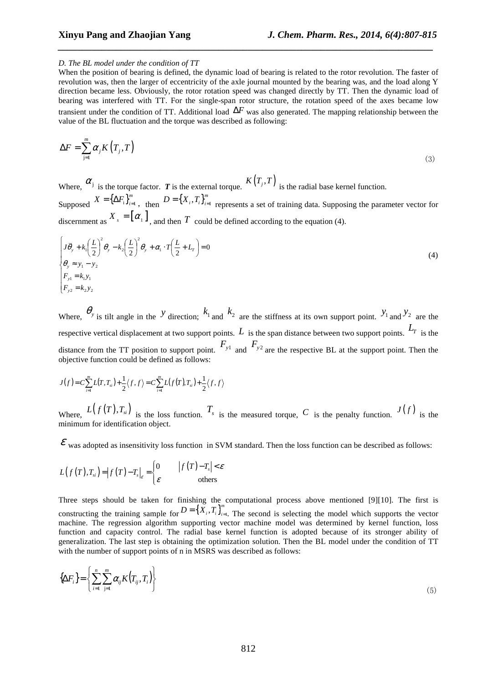## *D. The BL model under the condition of TT*

When the position of bearing is defined, the dynamic load of bearing is related to the rotor revolution. The faster of revolution was, then the larger of eccentricity of the axle journal mounted by the bearing was, and the load along Y direction became less. Obviously, the rotor rotation speed was changed directly by TT. Then the dynamic load of bearing was interfered with TT. For the single-span rotor structure, the rotation speed of the axes became low transient under the condition of TT. Additional load ∆*F* was also generated. The mapping relationship between the value of the BL fluctuation and the torque was described as following:

*\_\_\_\_\_\_\_\_\_\_\_\_\_\_\_\_\_\_\_\_\_\_\_\_\_\_\_\_\_\_\_\_\_\_\_\_\_\_\_\_\_\_\_\_\_\_\_\_\_\_\_\_\_\_\_\_\_\_\_\_\_\_\_\_\_\_\_\_\_\_\_\_\_\_\_\_\_*

$$
\Delta F = \sum_{j=1}^{m} \alpha_j K(T_j, T) \tag{3}
$$

Where,  $\alpha_j$  is the torque factor. *T* is the external torque.  $K(T_j, T)$  is the radial base kernel function.

Supposed  $X = {\{\Delta F_i\}}_{i=1}^m$  $X = {\Delta F_i}_{i=1}^m$ , then  $D = {X_i, T_i}_{i=1}^m$  $D = \{X_i, T_i\}_{i=1}^m$  represents a set of training data. Supposing the parameter vector for discernment as  $X_s = [\alpha_1]$ , and then *T* could be defined according to the equation (4).

$$
\begin{cases}\nJ\ddot{\theta}_y + k_1 \left(\frac{L}{2}\right)^2 \theta_y - k_2 \left(\frac{L}{2}\right)^2 \theta_y + \alpha_1 \cdot T \left(\frac{L}{2} + L_T\right) = 0 \\
\theta_y \approx y_1 - y_2 \\
F_{y1} = k_1 y_1 \\
F_{y2} = k_2 y_2\n\end{cases}
$$
\n(4)

Where,  $\theta_{y}$  is tilt angle in the *Y* direction;  $k_1$  and  $k_2$  are the stiffness at its own support point.  $y_1$  and  $y_2$  are the respective vertical displacement at two support points.  $L$  is the span distance between two support points.  $L_T$  is the distance from the TT position to support point.  $F_{y1}$  and  $F_{y2}$  are the respective BL at the support point. Then the objective function could be defined as follows:

$$
J(f) = C \sum_{i=1}^{m} L(T,T_{si}) + \frac{1}{2} \langle f, f \rangle = C \sum_{i=1}^{m} L(f(T),T_{si}) + \frac{1}{2} \langle f, f \rangle
$$

Where,  $L(f(T), T_{si})$  is the loss function.  $T_{s}$  is the measured torque, C is the penalty function.  $J(f)$  is the minimum for identification object.

 $\mathcal{E}$  was adopted as insensitivity loss function in SVM standard. Then the loss function can be described as follows:

$$
L(f(T),T_{si})=|f(T)-T_{s}|_{\varepsilon}=\begin{cases}0&|f(T)-T_{s}|<\varepsilon\\ \varepsilon&\text{others}\end{cases}
$$

Three steps should be taken for finishing the computational process above mentioned [9][10]. The first is constructing the training sample for  $D = \{X_i, T_i\}_{i=1}^m$  $D = \{X_i, T_i\}_{i=1}^m$ . The second is selecting the model which supports the vector machine. The regression algorithm supporting vector machine model was determined by kernel function, loss function and capacity control. The radial base kernel function is adopted because of its stronger ability of generalization. The last step is obtaining the optimization solution. Then the BL model under the condition of TT with the number of support points of n in MSRS was described as follows:

$$
\left\{\Delta F_i\right\} = \left\{\sum_{i=1}^n \sum_{j=1}^m \alpha_{ij} K\left(T_{ij}, T_i\right)\right\} \tag{5}
$$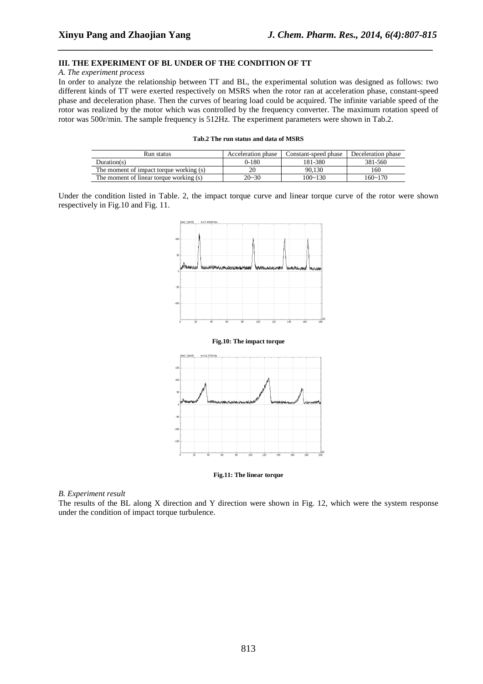## **III. THE EXPERIMENT OF BL UNDER OF THE CONDITION OF TT**

#### *A. The experiment process*

In order to analyze the relationship between TT and BL, the experimental solution was designed as follows: two different kinds of TT were exerted respectively on MSRS when the rotor ran at acceleration phase, constant-speed phase and deceleration phase. Then the curves of bearing load could be acquired. The infinite variable speed of the rotor was realized by the motor which was controlled by the frequency converter. The maximum rotation speed of rotor was 500r/min. The sample frequency is 512Hz. The experiment parameters were shown in Tab.2.

*\_\_\_\_\_\_\_\_\_\_\_\_\_\_\_\_\_\_\_\_\_\_\_\_\_\_\_\_\_\_\_\_\_\_\_\_\_\_\_\_\_\_\_\_\_\_\_\_\_\_\_\_\_\_\_\_\_\_\_\_\_\_\_\_\_\_\_\_\_\_\_\_\_\_\_\_\_*

|  |  |  |  |  |  |  | Tab.2 The run status and data of MSRS |
|--|--|--|--|--|--|--|---------------------------------------|
|--|--|--|--|--|--|--|---------------------------------------|

| Run status                              | Acceleration phase | Constant-speed phase | Deceleration phase |
|-----------------------------------------|--------------------|----------------------|--------------------|
| Duration(s)                             | $0-180$            | 181-380              | 381-560            |
| The moment of impact torque working (s) | 20                 | 90.130               | 160                |
| The moment of linear torque working (s) | $20 - 30$          | 100~130              | $160 - 170$        |

Under the condition listed in Table. 2, the impact torque curve and linear torque curve of the rotor were shown respectively in Fig.10 and Fig. 11.



**Fig.11: The linear torque** 

#### *B. Experiment result*

The results of the BL along X direction and Y direction were shown in Fig. 12, which were the system response under the condition of impact torque turbulence.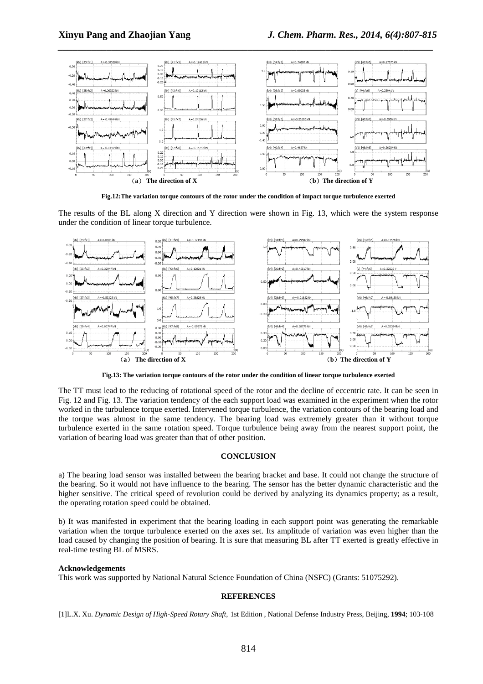

**Fig.12:The variation torque contours of the rotor under the condition of impact torque turbulence exerted** 

The results of the BL along X direction and Y direction were shown in Fig. 13, which were the system response under the condition of linear torque turbulence.



**Fig.13: The variation torque contours of the rotor under the condition of linear torque turbulence exerted** 

The TT must lead to the reducing of rotational speed of the rotor and the decline of eccentric rate. It can be seen in Fig. 12 and Fig. 13. The variation tendency of the each support load was examined in the experiment when the rotor worked in the turbulence torque exerted. Intervened torque turbulence, the variation contours of the bearing load and the torque was almost in the same tendency. The bearing load was extremely greater than it without torque turbulence exerted in the same rotation speed. Torque turbulence being away from the nearest support point, the variation of bearing load was greater than that of other position.

## **CONCLUSION**

a) The bearing load sensor was installed between the bearing bracket and base. It could not change the structure of the bearing. So it would not have influence to the bearing. The sensor has the better dynamic characteristic and the higher sensitive. The critical speed of revolution could be derived by analyzing its dynamics property; as a result, the operating rotation speed could be obtained.

b) It was manifested in experiment that the bearing loading in each support point was generating the remarkable variation when the torque turbulence exerted on the axes set. Its amplitude of variation was even higher than the load caused by changing the position of bearing. It is sure that measuring BL after TT exerted is greatly effective in real-time testing BL of MSRS.

#### **Acknowledgements**

This work was supported by National Natural Science Foundation of China (NSFC) (Grants: 51075292).

### **REFERENCES**

[1]L.X. Xu. *Dynamic Design of High-Speed Rotary Shaft*, 1st Edition , National Defense Industry Press, Beijing, **1994**; 103-108